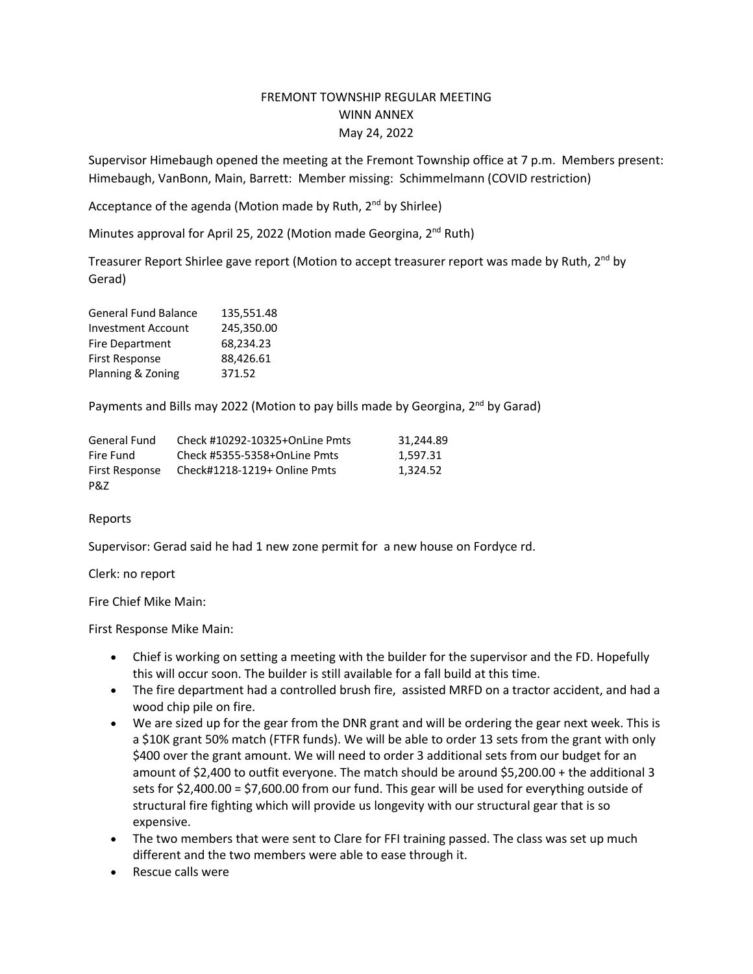## FREMONT TOWNSHIP REGULAR MEETING WINN ANNEX May 24, 2022

Supervisor Himebaugh opened the meeting at the Fremont Township office at 7 p.m. Members present: Himebaugh, VanBonn, Main, Barrett: Member missing: Schimmelmann (COVID restriction)

Acceptance of the agenda (Motion made by Ruth,  $2^{nd}$  by Shirlee)

Minutes approval for April 25, 2022 (Motion made Georgina,  $2^{nd}$  Ruth)

Treasurer Report Shirlee gave report (Motion to accept treasurer report was made by Ruth,  $2<sup>nd</sup>$  by Gerad)

| <b>General Fund Balance</b> | 135,551.48 |
|-----------------------------|------------|
| <b>Investment Account</b>   | 245,350.00 |
| <b>Fire Department</b>      | 68,234.23  |
| <b>First Response</b>       | 88,426.61  |
| Planning & Zoning           | 371.52     |

Payments and Bills may 2022 (Motion to pay bills made by Georgina, 2<sup>nd</sup> by Garad)

| General Fund   | Check #10292-10325+OnLine Pmts | 31.244.89 |
|----------------|--------------------------------|-----------|
| Fire Fund      | Check #5355-5358+OnLine Pmts   | 1.597.31  |
| First Response | Check#1218-1219+ Online Pmts   | 1.324.52  |
| P&Z            |                                |           |

## Reports

Supervisor: Gerad said he had 1 new zone permit for a new house on Fordyce rd.

Clerk: no report

Fire Chief Mike Main:

First Response Mike Main:

- Chief is working on setting a meeting with the builder for the supervisor and the FD. Hopefully this will occur soon. The builder is still available for a fall build at this time.
- The fire department had a controlled brush fire, assisted MRFD on a tractor accident, and had a wood chip pile on fire.
- We are sized up for the gear from the DNR grant and will be ordering the gear next week. This is a \$10K grant 50% match (FTFR funds). We will be able to order 13 sets from the grant with only \$400 over the grant amount. We will need to order 3 additional sets from our budget for an amount of \$2,400 to outfit everyone. The match should be around \$5,200.00 + the additional 3 sets for \$2,400.00 = \$7,600.00 from our fund. This gear will be used for everything outside of structural fire fighting which will provide us longevity with our structural gear that is so expensive.
- The two members that were sent to Clare for FFI training passed. The class was set up much different and the two members were able to ease through it.
- Rescue calls were